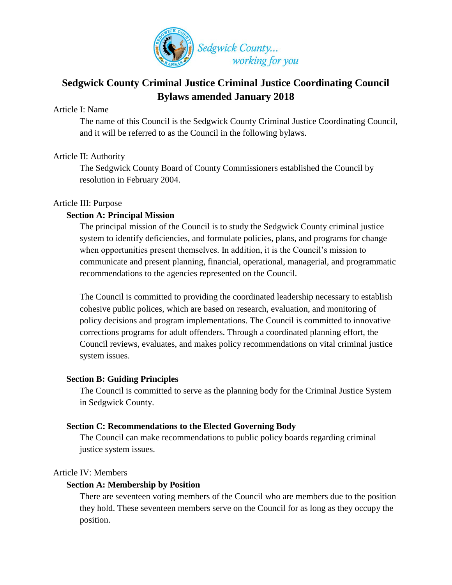

# **Sedgwick County Criminal Justice Criminal Justice Coordinating Council Bylaws amended January 2018**

# Article I: Name

The name of this Council is the Sedgwick County Criminal Justice Coordinating Council, and it will be referred to as the Council in the following bylaws.

# Article II: Authority

The Sedgwick County Board of County Commissioners established the Council by resolution in February 2004.

#### Article III: Purpose

# **Section A: Principal Mission**

The principal mission of the Council is to study the Sedgwick County criminal justice system to identify deficiencies, and formulate policies, plans, and programs for change when opportunities present themselves. In addition, it is the Council's mission to communicate and present planning, financial, operational, managerial, and programmatic recommendations to the agencies represented on the Council.

The Council is committed to providing the coordinated leadership necessary to establish cohesive public polices, which are based on research, evaluation, and monitoring of policy decisions and program implementations. The Council is committed to innovative corrections programs for adult offenders. Through a coordinated planning effort, the Council reviews, evaluates, and makes policy recommendations on vital criminal justice system issues.

#### **Section B: Guiding Principles**

The Council is committed to serve as the planning body for the Criminal Justice System in Sedgwick County.

#### **Section C: Recommendations to the Elected Governing Body**

The Council can make recommendations to public policy boards regarding criminal justice system issues.

#### Article IV: Members

# **Section A: Membership by Position**

There are seventeen voting members of the Council who are members due to the position they hold. These seventeen members serve on the Council for as long as they occupy the position.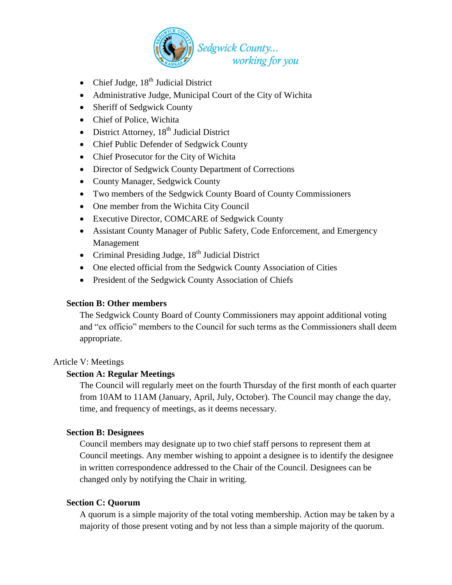

- Chief Judge,  $18<sup>th</sup>$  Judicial District
- Administrative Judge, Municipal Court of the City of Wichita
- Sheriff of Sedgwick County
- Chief of Police, Wichita
- District Attorney,  $18<sup>th</sup>$  Judicial District
- Chief Public Defender of Sedgwick County
- Chief Prosecutor for the City of Wichita
- Director of Sedgwick County Department of Corrections
- County Manager, Sedgwick County
- Two members of the Sedgwick County Board of County Commissioners
- One member from the Wichita City Council
- Executive Director, COMCARE of Sedgwick County
- Assistant County Manager of Public Safety, Code Enforcement, and Emergency Management
- Criminal Presiding Judge,  $18<sup>th</sup>$  Judicial District
- One elected official from the Sedgwick County Association of Cities
- President of the Sedgwick County Association of Chiefs

# **Section B: Other members**

The Sedgwick County Board of County Commissioners may appoint additional voting and "ex officio" members to the Council for such terms as the Commissioners shall deem appropriate.

# Article V: Meetings

# **Section A: Regular Meetings**

The Council will regularly meet on the fourth Thursday of the first month of each quarter from 10AM to 11AM (January, April, July, October). The Council may change the day, time, and frequency of meetings, as it deems necessary.

# **Section B: Designees**

Council members may designate up to two chief staff persons to represent them at Council meetings. Any member wishing to appoint a designee is to identify the designee in written correspondence addressed to the Chair of the Council. Designees can be changed only by notifying the Chair in writing.

# **Section C: Quorum**

A quorum is a simple majority of the total voting membership. Action may be taken by a majority of those present voting and by not less than a simple majority of the quorum.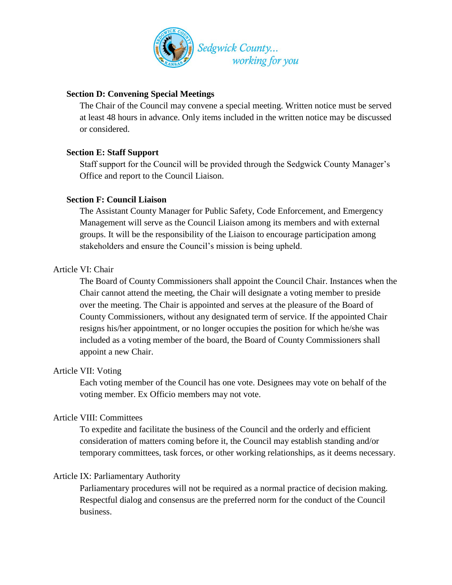

# **Section D: Convening Special Meetings**

The Chair of the Council may convene a special meeting. Written notice must be served at least 48 hours in advance. Only items included in the written notice may be discussed or considered.

# **Section E: Staff Support**

Staff support for the Council will be provided through the Sedgwick County Manager's Office and report to the Council Liaison.

# **Section F: Council Liaison**

The Assistant County Manager for Public Safety, Code Enforcement, and Emergency Management will serve as the Council Liaison among its members and with external groups. It will be the responsibility of the Liaison to encourage participation among stakeholders and ensure the Council's mission is being upheld.

# Article VI: Chair

The Board of County Commissioners shall appoint the Council Chair. Instances when the Chair cannot attend the meeting, the Chair will designate a voting member to preside over the meeting. The Chair is appointed and serves at the pleasure of the Board of County Commissioners, without any designated term of service. If the appointed Chair resigns his/her appointment, or no longer occupies the position for which he/she was included as a voting member of the board, the Board of County Commissioners shall appoint a new Chair.

# Article VII: Voting

Each voting member of the Council has one vote. Designees may vote on behalf of the voting member. Ex Officio members may not vote.

# Article VIII: Committees

To expedite and facilitate the business of the Council and the orderly and efficient consideration of matters coming before it, the Council may establish standing and/or temporary committees, task forces, or other working relationships, as it deems necessary.

# Article IX: Parliamentary Authority

Parliamentary procedures will not be required as a normal practice of decision making. Respectful dialog and consensus are the preferred norm for the conduct of the Council business.